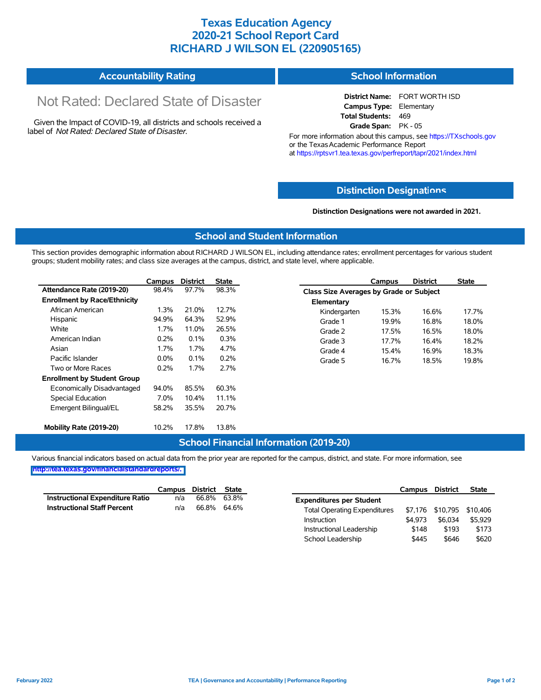## **Texas Education Agency 2020-21 School Report Card RICHARD J WILSON EL (220905165)**

#### **Accountability Rating School Information**

# Not Rated: Declared State of Disaster

Given the Impact of COVID-19, all districts and schools received a label of *Not Rated: Declared State of Disaster.*

**District Name:** FORT WORTH ISD **Campus Type:** Elementary **Total Students:** 469 **Grade Span:** PK - 05

For more information about this campus, see https://TXschools.gov or the Texas Academic Performance Report at https://rptsvr1.tea.texas.gov/perfreport/tapr/2021/index.html

#### **Distinction Designat[ions](https://TXschools.gov)**

**Distinction Designations were not awarded in 2021.**

School Leadership  $$445$  \$646 \$620

#### **School and Student Information**

This section provides demographic information about RICHARD J WILSON EL, including attendance rates; enrollment percentages for various student groups; student mobility rates; and class size averages at the campus, district, and state level, where applicable.

|                                     | Campus  | <b>District</b> | <b>State</b> |              | Campus                                  | <b>District</b> | <b>State</b> |  |  |
|-------------------------------------|---------|-----------------|--------------|--------------|-----------------------------------------|-----------------|--------------|--|--|
| Attendance Rate (2019-20)           | 98.4%   | 97.7%           | 98.3%        |              | Class Size Averages by Grade or Subject |                 |              |  |  |
| <b>Enrollment by Race/Ethnicity</b> |         |                 |              | Elementary   |                                         |                 |              |  |  |
| African American                    | 1.3%    | 21.0%           | 12.7%        | Kindergarten | 15.3%                                   | 16.6%           | 17.7%        |  |  |
| Hispanic                            | 94.9%   | 64.3%           | 52.9%        | Grade 1      | 19.9%                                   | 16.8%           | 18.0%        |  |  |
| White                               | $1.7\%$ | 11.0%           | 26.5%        | Grade 2      | 17.5%                                   | 16.5%           | 18.0%        |  |  |
| American Indian                     | 0.2%    | 0.1%            | 0.3%         | Grade 3      | 17.7%                                   | 16.4%           | 18.2%        |  |  |
| Asian                               | 1.7%    | 1.7%            | 4.7%         | Grade 4      | 15.4%                                   | 16.9%           | 18.3%        |  |  |
| Pacific Islander                    | $0.0\%$ | 0.1%            | 0.2%         | Grade 5      | 16.7%                                   | 18.5%           | 19.8%        |  |  |
| Two or More Races                   | 0.2%    | 1.7%            | 2.7%         |              |                                         |                 |              |  |  |
| <b>Enrollment by Student Group</b>  |         |                 |              |              |                                         |                 |              |  |  |
| Economically Disadvantaged          | 94.0%   | 85.5%           | 60.3%        |              |                                         |                 |              |  |  |
| Special Education                   | 7.0%    | 10.4%           | 11.1%        |              |                                         |                 |              |  |  |
| Emergent Bilingual/EL               | 58.2%   | 35.5%           | 20.7%        |              |                                         |                 |              |  |  |
|                                     |         |                 |              |              |                                         |                 |              |  |  |
| Mobility Rate (2019-20)             | 10.2%   | 17.8%           | 13.8%        |              |                                         |                 |              |  |  |

#### **School Financial Information (2019-20)**

Various financial indicators based on actual data from the prior year are reported for the campus, district, and state. For more information, see

**[http://tea.texas.gov/financialstandardreports/.](http://tea.texas.gov/financialstandardreports/)**

|                                        | Campus | District State |             |                                     | Campus  | <b>District</b>           | <b>State</b> |
|----------------------------------------|--------|----------------|-------------|-------------------------------------|---------|---------------------------|--------------|
| <b>Instructional Expenditure Ratio</b> | n/a    | 66.8%          | 63.8%       | <b>Expenditures per Student</b>     |         |                           |              |
| <b>Instructional Staff Percent</b>     | n/a    |                | 66.8% 64.6% | <b>Total Operating Expenditures</b> |         | \$7,176 \$10,795 \$10,406 |              |
|                                        |        |                |             | Instruction                         | \$4.973 | \$6.034                   | \$5.929      |
|                                        |        |                |             | Instructional Leadership            | \$148   | \$193                     | \$173        |